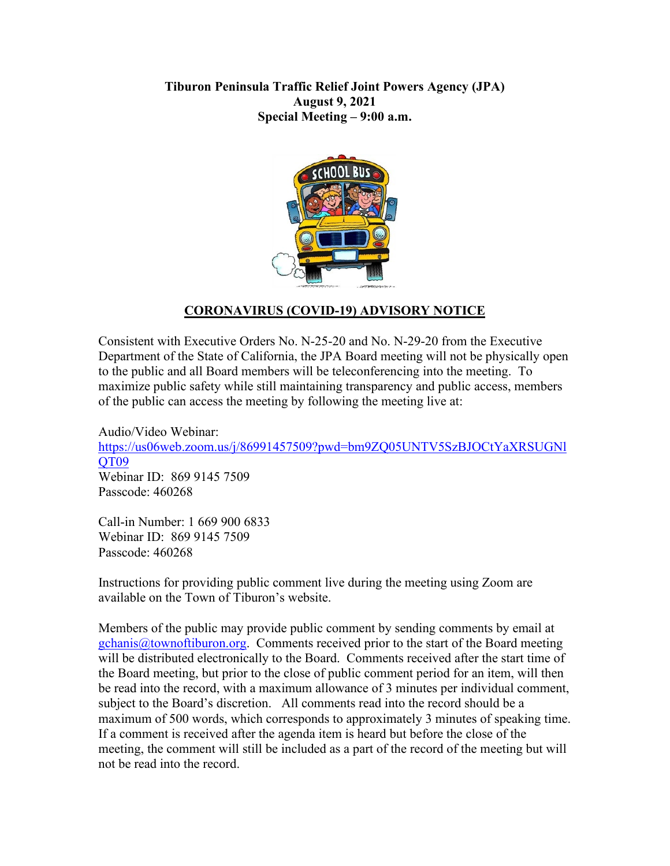## **Tiburon Peninsula Traffic Relief Joint Powers Agency (JPA) August 9, 2021 Special Meeting – 9:00 a.m.**



# **CORONAVIRUS (COVID-19) ADVISORY NOTICE**

Consistent with Executive Orders No. N-25-20 and No. N-29-20 from the Executive Department of the State of California, the JPA Board meeting will not be physically open to the public and all Board members will be teleconferencing into the meeting. To maximize public safety while still maintaining transparency and public access, members of the public can access the meeting by following the meeting live at:

Audio/Video Webinar: [https://us06web.zoom.us/j/86991457509?pwd=bm9ZQ05UNTV5SzBJOCtYaXRSUGNl](https://us06web.zoom.us/j/86991457509?pwd=bm9ZQ05UNTV5SzBJOCtYaXRSUGNlQT09) **OT09** Webinar ID: 869 9145 7509 Passcode: 460268

Call-in Number: 1 669 900 6833 Webinar ID: 869 9145 7509 Passcode: 460268

Instructions for providing public comment live during the meeting using Zoom are available on the Town of Tiburon's website.

Members of the public may provide public comment by sending comments by email at  $gchanis@town oftiburon.org.$  Comments received prior to the start of the Board meeting will be distributed electronically to the Board. Comments received after the start time of the Board meeting, but prior to the close of public comment period for an item, will then be read into the record, with a maximum allowance of 3 minutes per individual comment, subject to the Board's discretion. All comments read into the record should be a maximum of 500 words, which corresponds to approximately 3 minutes of speaking time. If a comment is received after the agenda item is heard but before the close of the meeting, the comment will still be included as a part of the record of the meeting but will not be read into the record.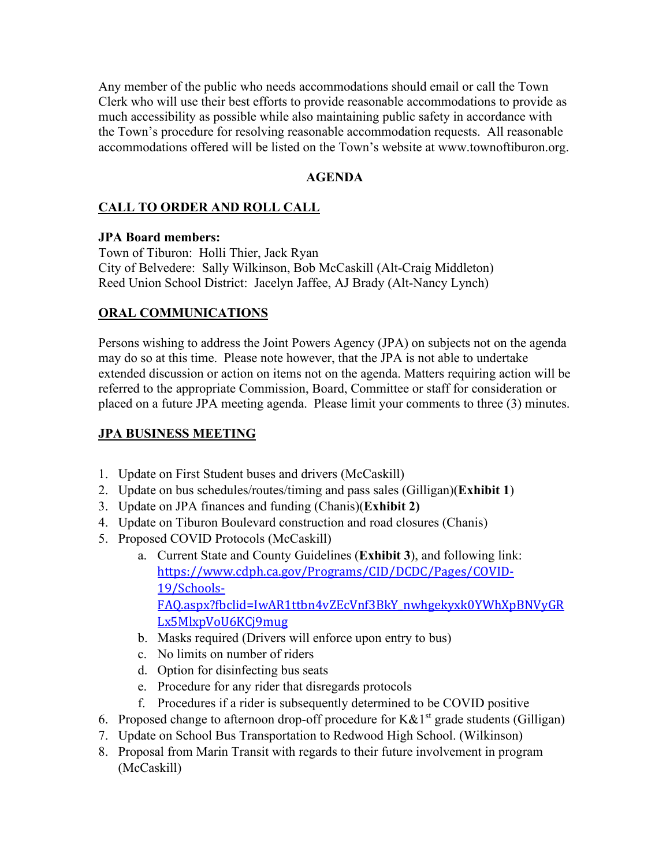Any member of the public who needs accommodations should email or call the Town Clerk who will use their best efforts to provide reasonable accommodations to provide as much accessibility as possible while also maintaining public safety in accordance with the Town's procedure for resolving reasonable accommodation requests. All reasonable accommodations offered will be listed on the Town's website at www.townoftiburon.org.

## **AGENDA**

# **CALL TO ORDER AND ROLL CALL**

### **JPA Board members:**

Town of Tiburon: Holli Thier, Jack Ryan City of Belvedere: Sally Wilkinson, Bob McCaskill (Alt-Craig Middleton) Reed Union School District: Jacelyn Jaffee, AJ Brady (Alt-Nancy Lynch)

# **ORAL COMMUNICATIONS**

Persons wishing to address the Joint Powers Agency (JPA) on subjects not on the agenda may do so at this time. Please note however, that the JPA is not able to undertake extended discussion or action on items not on the agenda. Matters requiring action will be referred to the appropriate Commission, Board, Committee or staff for consideration or placed on a future JPA meeting agenda. Please limit your comments to three (3) minutes.

# **JPA BUSINESS MEETING**

- 1. Update on First Student buses and drivers (McCaskill)
- 2. Update on bus schedules/routes/timing and pass sales (Gilligan)(**Exhibit 1**)
- 3. Update on JPA finances and funding (Chanis)(**Exhibit 2)**
- 4. Update on Tiburon Boulevard construction and road closures (Chanis)
- 5. Proposed COVID Protocols (McCaskill)
	- a. Current State and County Guidelines (**Exhibit 3**), and following link: [https://www.cdph.ca.gov/Programs/CID/DCDC/Pages/COVID-](https://www.cdph.ca.gov/Programs/CID/DCDC/Pages/COVID-19/Schools-FAQ.aspx?fbclid=IwAR1ttbn4vZEcVnf3BkY_nwhgekyxk0YWhXpBNVyGRLx5MlxpVoU6KCj9mug)[19/Schools-](https://www.cdph.ca.gov/Programs/CID/DCDC/Pages/COVID-19/Schools-FAQ.aspx?fbclid=IwAR1ttbn4vZEcVnf3BkY_nwhgekyxk0YWhXpBNVyGRLx5MlxpVoU6KCj9mug)[FAQ.aspx?fbclid=IwAR1ttbn4vZEcVnf3BkY\\_nwhgekyxk0YWhXpBNVyGR](https://www.cdph.ca.gov/Programs/CID/DCDC/Pages/COVID-19/Schools-FAQ.aspx?fbclid=IwAR1ttbn4vZEcVnf3BkY_nwhgekyxk0YWhXpBNVyGRLx5MlxpVoU6KCj9mug) [Lx5MlxpVoU6KCj9mug](https://www.cdph.ca.gov/Programs/CID/DCDC/Pages/COVID-19/Schools-FAQ.aspx?fbclid=IwAR1ttbn4vZEcVnf3BkY_nwhgekyxk0YWhXpBNVyGRLx5MlxpVoU6KCj9mug)
	- b. Masks required (Drivers will enforce upon entry to bus)
	- c. No limits on number of riders
	- d. Option for disinfecting bus seats
	- e. Procedure for any rider that disregards protocols
	- f. Procedures if a rider is subsequently determined to be COVID positive
- 6. Proposed change to afternoon drop-off procedure for  $K\&1^{st}$  grade students (Gilligan)
- 7. Update on School Bus Transportation to Redwood High School. (Wilkinson)
- 8. Proposal from Marin Transit with regards to their future involvement in program (McCaskill)